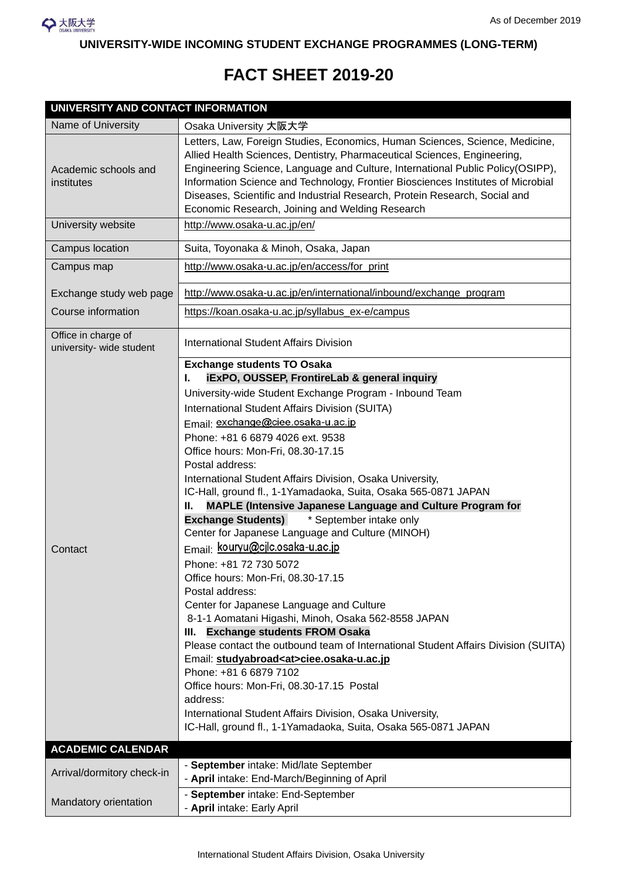

**UNIVERSITY-WIDE INCOMING STUDENT EXCHANGE PROGRAMMES (LONG-TERM)** 

## **FACT SHEET 2019-20**

| <b>UNIVERSITY AND CONTACT INFORMATION</b>       |                                                                                                                                                                                                                                                                                                                                                                                                                                                                                                                                                                                                                                                                                                                                                                                                                                                                                                                                                                                                                                                                                                                                                                                                                                                                                                |  |
|-------------------------------------------------|------------------------------------------------------------------------------------------------------------------------------------------------------------------------------------------------------------------------------------------------------------------------------------------------------------------------------------------------------------------------------------------------------------------------------------------------------------------------------------------------------------------------------------------------------------------------------------------------------------------------------------------------------------------------------------------------------------------------------------------------------------------------------------------------------------------------------------------------------------------------------------------------------------------------------------------------------------------------------------------------------------------------------------------------------------------------------------------------------------------------------------------------------------------------------------------------------------------------------------------------------------------------------------------------|--|
| Name of University                              | Osaka University 大阪大学                                                                                                                                                                                                                                                                                                                                                                                                                                                                                                                                                                                                                                                                                                                                                                                                                                                                                                                                                                                                                                                                                                                                                                                                                                                                          |  |
| Academic schools and<br>institutes              | Letters, Law, Foreign Studies, Economics, Human Sciences, Science, Medicine,<br>Allied Health Sciences, Dentistry, Pharmaceutical Sciences, Engineering,<br>Engineering Science, Language and Culture, International Public Policy(OSIPP),<br>Information Science and Technology, Frontier Biosciences Institutes of Microbial<br>Diseases, Scientific and Industrial Research, Protein Research, Social and<br>Economic Research, Joining and Welding Research                                                                                                                                                                                                                                                                                                                                                                                                                                                                                                                                                                                                                                                                                                                                                                                                                                |  |
| University website                              | http://www.osaka-u.ac.jp/en/                                                                                                                                                                                                                                                                                                                                                                                                                                                                                                                                                                                                                                                                                                                                                                                                                                                                                                                                                                                                                                                                                                                                                                                                                                                                   |  |
| Campus location                                 | Suita, Toyonaka & Minoh, Osaka, Japan                                                                                                                                                                                                                                                                                                                                                                                                                                                                                                                                                                                                                                                                                                                                                                                                                                                                                                                                                                                                                                                                                                                                                                                                                                                          |  |
| Campus map                                      | http://www.osaka-u.ac.jp/en/access/for_print                                                                                                                                                                                                                                                                                                                                                                                                                                                                                                                                                                                                                                                                                                                                                                                                                                                                                                                                                                                                                                                                                                                                                                                                                                                   |  |
| Exchange study web page                         | http://www.osaka-u.ac.jp/en/international/inbound/exchange_program                                                                                                                                                                                                                                                                                                                                                                                                                                                                                                                                                                                                                                                                                                                                                                                                                                                                                                                                                                                                                                                                                                                                                                                                                             |  |
| Course information                              | https://koan.osaka-u.ac.jp/syllabus_ex-e/campus                                                                                                                                                                                                                                                                                                                                                                                                                                                                                                                                                                                                                                                                                                                                                                                                                                                                                                                                                                                                                                                                                                                                                                                                                                                |  |
| Office in charge of<br>university- wide student | <b>International Student Affairs Division</b>                                                                                                                                                                                                                                                                                                                                                                                                                                                                                                                                                                                                                                                                                                                                                                                                                                                                                                                                                                                                                                                                                                                                                                                                                                                  |  |
| Contact                                         | <b>Exchange students TO Osaka</b><br>iExPO, OUSSEP, FrontireLab & general inquiry<br>ı.<br>University-wide Student Exchange Program - Inbound Team<br>International Student Affairs Division (SUITA)<br>Email: exchange@ciee.osaka-u.ac.jp<br>Phone: +81 6 6879 4026 ext. 9538<br>Office hours: Mon-Fri, 08.30-17.15<br>Postal address:<br>International Student Affairs Division, Osaka University,<br>IC-Hall, ground fl., 1-1Yamadaoka, Suita, Osaka 565-0871 JAPAN<br>MAPLE (Intensive Japanese Language and Culture Program for<br>Ш.<br>* September intake only<br><b>Exchange Students)</b><br>Center for Japanese Language and Culture (MINOH)<br>Email: kouryu@cjlc.osaka-u.ac.jp<br>Phone: +81 72 730 5072<br>Office hours: Mon-Fri, 08.30-17.15<br>Postal address:<br>Center for Japanese Language and Culture<br>8-1-1 Aomatani Higashi, Minoh, Osaka 562-8558 JAPAN<br><b>Exchange students FROM Osaka</b><br>III.<br>Please contact the outbound team of International Student Affairs Division (SUITA)<br>Email: studyabroad <at>ciee.osaka-u.ac.jp<br/>Phone: +81 6 6879 7102<br/>Office hours: Mon-Fri, 08.30-17.15 Postal<br/>address:<br/>International Student Affairs Division, Osaka University,<br/>IC-Hall, ground fl., 1-1Yamadaoka, Suita, Osaka 565-0871 JAPAN</at> |  |
| <b>ACADEMIC CALENDAR</b>                        |                                                                                                                                                                                                                                                                                                                                                                                                                                                                                                                                                                                                                                                                                                                                                                                                                                                                                                                                                                                                                                                                                                                                                                                                                                                                                                |  |
| Arrival/dormitory check-in                      | - September intake: Mid/late September<br>- April intake: End-March/Beginning of April                                                                                                                                                                                                                                                                                                                                                                                                                                                                                                                                                                                                                                                                                                                                                                                                                                                                                                                                                                                                                                                                                                                                                                                                         |  |
| Mandatory orientation                           | - September intake: End-September<br>- April intake: Early April                                                                                                                                                                                                                                                                                                                                                                                                                                                                                                                                                                                                                                                                                                                                                                                                                                                                                                                                                                                                                                                                                                                                                                                                                               |  |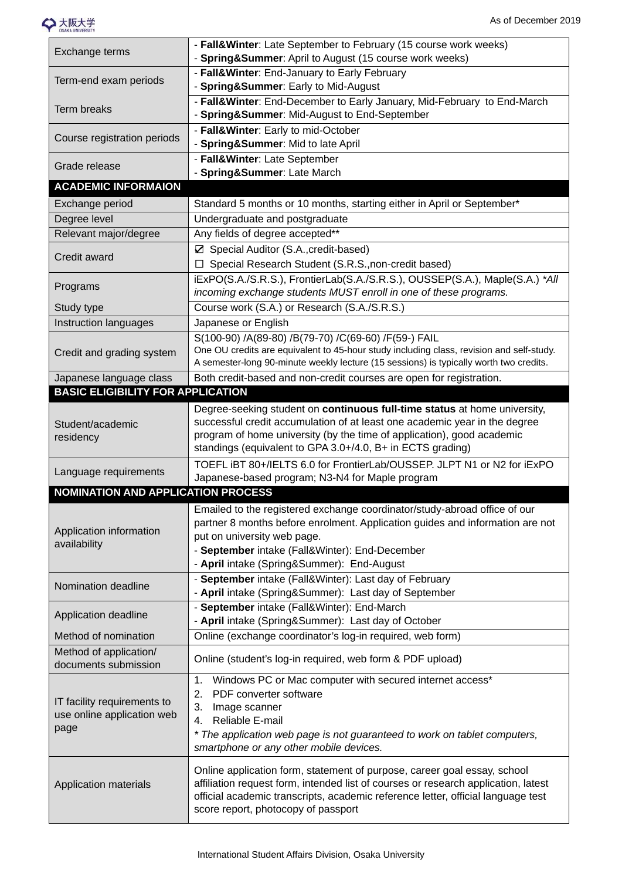

| Exchange terms                                                    | - Fall&Winter: Late September to February (15 course work weeks)<br>- Spring&Summer: April to August (15 course work weeks)                                                                                                                                                                     |
|-------------------------------------------------------------------|-------------------------------------------------------------------------------------------------------------------------------------------------------------------------------------------------------------------------------------------------------------------------------------------------|
| Term-end exam periods                                             | - Fall&Winter: End-January to Early February<br>- Spring&Summer: Early to Mid-August                                                                                                                                                                                                            |
| <b>Term breaks</b>                                                | - Fall&Winter: End-December to Early January, Mid-February to End-March<br>- Spring&Summer: Mid-August to End-September                                                                                                                                                                         |
| Course registration periods                                       | - Fall&Winter: Early to mid-October<br>- Spring&Summer: Mid to late April                                                                                                                                                                                                                       |
| Grade release                                                     | - Fall&Winter: Late September<br>- Spring&Summer: Late March                                                                                                                                                                                                                                    |
| <b>ACADEMIC INFORMAION</b>                                        |                                                                                                                                                                                                                                                                                                 |
| Exchange period                                                   | Standard 5 months or 10 months, starting either in April or September*                                                                                                                                                                                                                          |
| Degree level                                                      | Undergraduate and postgraduate                                                                                                                                                                                                                                                                  |
| Relevant major/degree                                             | Any fields of degree accepted**                                                                                                                                                                                                                                                                 |
| Credit award                                                      | ☑ Special Auditor (S.A., credit-based)<br>□ Special Research Student (S.R.S., non-credit based)                                                                                                                                                                                                 |
| Programs                                                          | iExPO(S.A./S.R.S.), FrontierLab(S.A./S.R.S.), OUSSEP(S.A.), Maple(S.A.) *All<br>incoming exchange students MUST enroll in one of these programs.                                                                                                                                                |
| Study type                                                        | Course work (S.A.) or Research (S.A./S.R.S.)                                                                                                                                                                                                                                                    |
| Instruction languages                                             | Japanese or English                                                                                                                                                                                                                                                                             |
| Credit and grading system                                         | S(100-90) /A(89-80) /B(79-70) /C(69-60) /F(59-) FAIL<br>One OU credits are equivalent to 45-hour study including class, revision and self-study.<br>A semester-long 90-minute weekly lecture (15 sessions) is typically worth two credits.                                                      |
| Japanese language class                                           | Both credit-based and non-credit courses are open for registration.                                                                                                                                                                                                                             |
| <b>BASIC ELIGIBILITY FOR APPLICATION</b>                          |                                                                                                                                                                                                                                                                                                 |
| Student/academic<br>residency                                     | Degree-seeking student on continuous full-time status at home university,<br>successful credit accumulation of at least one academic year in the degree<br>program of home university (by the time of application), good academic<br>standings (equivalent to GPA 3.0+/4.0, B+ in ECTS grading) |
| Language requirements                                             | TOEFL iBT 80+/IELTS 6.0 for FrontierLab/OUSSEP. JLPT N1 or N2 for iExPO<br>Japanese-based program; N3-N4 for Maple program                                                                                                                                                                      |
| <b>NOMINATION AND APPLICATION PROCESS</b>                         |                                                                                                                                                                                                                                                                                                 |
| Application information<br>availability                           | Emailed to the registered exchange coordinator/study-abroad office of our<br>partner 8 months before enrolment. Application guides and information are not<br>put on university web page.<br>- September intake (Fall&Winter): End-December<br>- April intake (Spring&Summer): End-August       |
| Nomination deadline                                               | - September intake (Fall&Winter): Last day of February<br>- April intake (Spring&Summer): Last day of September                                                                                                                                                                                 |
| Application deadline                                              | - September intake (Fall&Winter): End-March<br>- April intake (Spring&Summer): Last day of October                                                                                                                                                                                              |
| Method of nomination                                              | Online (exchange coordinator's log-in required, web form)                                                                                                                                                                                                                                       |
| Method of application/<br>documents submission                    | Online (student's log-in required, web form & PDF upload)                                                                                                                                                                                                                                       |
| IT facility requirements to<br>use online application web<br>page | Windows PC or Mac computer with secured internet access*<br>$\mathbf{1}$ .<br>PDF converter software<br>2.<br>3.<br>Image scanner<br>Reliable E-mail<br>4.<br>* The application web page is not guaranteed to work on tablet computers,<br>smartphone or any other mobile devices.              |
| Application materials                                             | Online application form, statement of purpose, career goal essay, school<br>affiliation request form, intended list of courses or research application, latest<br>official academic transcripts, academic reference letter, official language test<br>score report, photocopy of passport       |